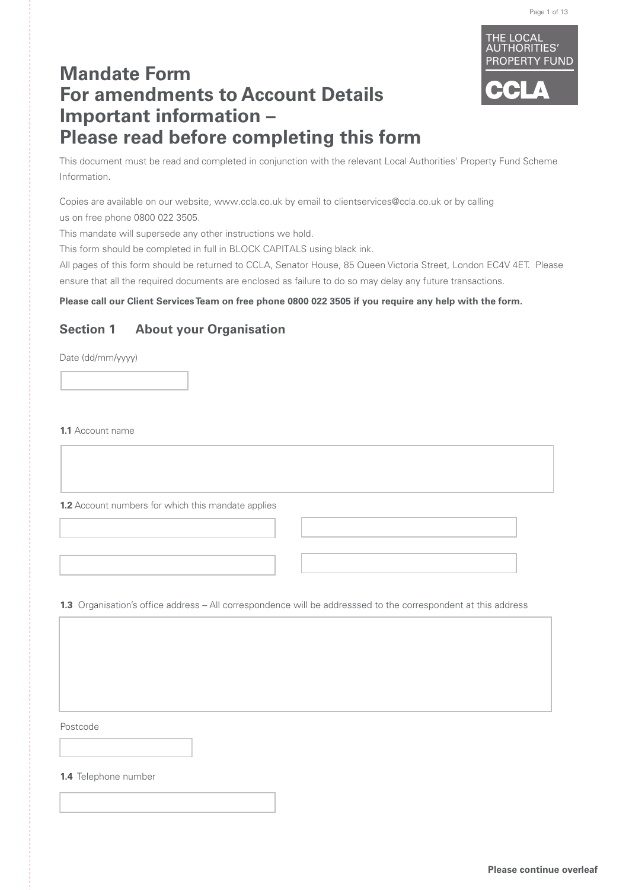

# **Mandate Form For amendments to Account Details Important information – Please read before completing this form**

This document must be read and completed in conjunction with the relevant Local Authorities' Property Fund Scheme Information.

Copies are available on our website, www.ccla.co.uk by email to clientservices@ccla.co.uk or by calling us on free phone 0800 022 3505.

This mandate will supersede any other instructions we hold.

This form should be completed in full in BLOCK CAPITALS using black ink.

All pages of this form should be returned to CCLA, Senator House, 85 Queen Victoria Street, London EC4V 4ET. Please ensure that all the required documents are enclosed as failure to do so may delay any future transactions.

### **Please call our Client Services Team on free phone 0800 022 3505 if you require any help with the form.**

### **Section 1 About your Organisation**

Date (dd/mm/yyyy)

**1.1** Account name

**1.2** Account numbers for which this mandate applies

**1.3** Organisation's office address – All correspondence will be addresssed to the correspondent at this address

Postcode

**1.4** Telephone number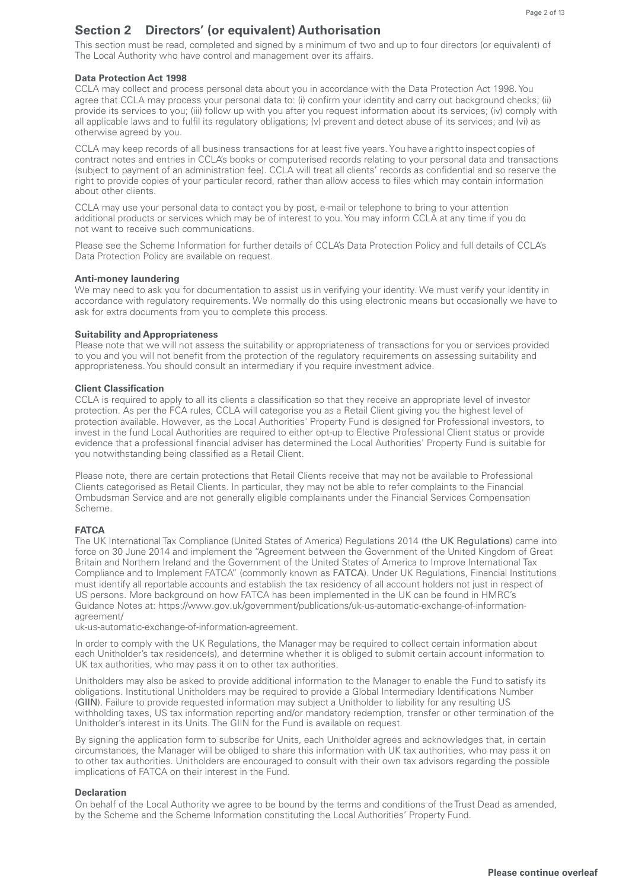### **Section 2 Directors' (or equivalent) Authorisation**

This section must be read, completed and signed by a minimum of two and up to four directors (or equivalent) of The Local Authority who have control and management over its affairs.

### **Data Protection Act 1998**

CCLA may collect and process personal data about you in accordance with the Data Protection Act 1998. You agree that CCLA may process your personal data to: (i) confirm your identity and carry out background checks; (ii) provide its services to you; (iii) follow up with you after you request information about its services; (iv) comply with all applicable laws and to fulfil its regulatory obligations; (v) prevent and detect abuse of its services; and (vi) as otherwise agreed by you.

CCLA may keep records of all business transactions for at least five years. You have a right to inspect copies of contract notes and entries in CCLA's books or computerised records relating to your personal data and transactions (subject to payment of an administration fee). CCLA will treat all clients' records as confidential and so reserve the right to provide copies of your particular record, rather than allow access to files which may contain information about other clients.

CCLA may use your personal data to contact you by post, e-mail or telephone to bring to your attention additional products or services which may be of interest to you. You may inform CCLA at any time if you do not want to receive such communications.

Please see the Scheme Information for further details of CCLA's Data Protection Policy and full details of CCLA's Data Protection Policy are available on request.

### **Anti-money laundering**

We may need to ask you for documentation to assist us in verifying your identity. We must verify your identity in accordance with regulatory requirements. We normally do this using electronic means but occasionally we have to ask for extra documents from you to complete this process.

#### **Suitability and Appropriateness**

Please note that we will not assess the suitability or appropriateness of transactions for you or services provided to you and you will not benefit from the protection of the regulatory requirements on assessing suitability and appropriateness. You should consult an intermediary if you require investment advice.

#### **Client Classification**

CCLA is required to apply to all its clients a classification so that they receive an appropriate level of investor protection. As per the FCA rules, CCLA will categorise you as a Retail Client giving you the highest level of protection available. However, as the Local Authorities' Property Fund is designed for Professional investors, to invest in the fund Local Authorities are required to either opt-up to Elective Professional Client status or provide evidence that a professional financial adviser has determined the Local Authorities' Property Fund is suitable for you notwithstanding being classified as a Retail Client.

Please note, there are certain protections that Retail Clients receive that may not be available to Professional Clients categorised as Retail Clients. In particular, they may not be able to refer complaints to the Financial Ombudsman Service and are not generally eligible complainants under the Financial Services Compensation Scheme.

### **FATCA**

The UK International Tax Compliance (United States of America) Regulations 2014 (the UK Regulations) came into force on 30 June 2014 and implement the "Agreement between the Government of the United Kingdom of Great Britain and Northern Ireland and the Government of the United States of America to Improve International Tax Compliance and to Implement FATCA" (commonly known as FATCA). Under UK Regulations, Financial Institutions must identify all reportable accounts and establish the tax residency of all account holders not just in respect of US persons. More background on how FATCA has been implemented in the UK can be found in HMRC's Guidance Notes at: https://www.gov.uk/government/publications/uk-us-automatic-exchange-of-informationagreement/

uk-us-automatic-exchange-of-information-agreement.

In order to comply with the UK Regulations, the Manager may be required to collect certain information about each Unitholder's tax residence(s), and determine whether it is obliged to submit certain account information to UK tax authorities, who may pass it on to other tax authorities.

Unitholders may also be asked to provide additional information to the Manager to enable the Fund to satisfy its obligations. Institutional Unitholders may be required to provide a Global Intermediary Identifications Number (GIIN). Failure to provide requested information may subject a Unitholder to liability for any resulting US withholding taxes, US tax information reporting and/or mandatory redemption, transfer or other termination of the Unitholder's interest in its Units. The GIIN for the Fund is available on request.

By signing the application form to subscribe for Units, each Unitholder agrees and acknowledges that, in certain circumstances, the Manager will be obliged to share this information with UK tax authorities, who may pass it on to other tax authorities. Unitholders are encouraged to consult with their own tax advisors regarding the possible implications of FATCA on their interest in the Fund.

#### **Declaration**

On behalf of the Local Authority we agree to be bound by the terms and conditions of the Trust Dead as amended, by the Scheme and the Scheme Information constituting the Local Authorities' Property Fund.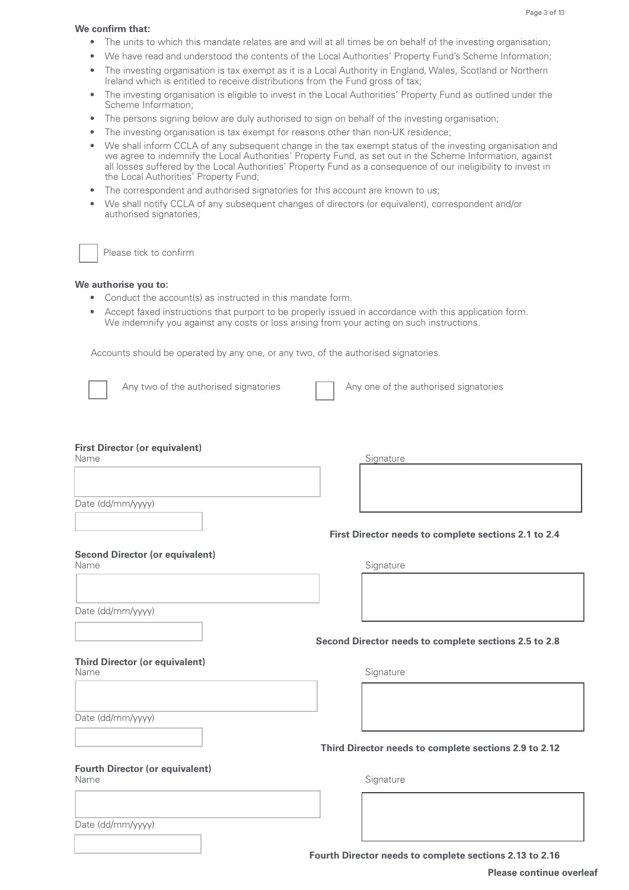#### Page 3 of 13

#### **We confirm that:**

- The units to which this mandate relates are and will at all times be on behalf of the investing organisation;
- We have read and understood the contents of the Local Authorities' Property Fund's Scheme Information;
- The investing organisation is tax exempt as it is a Local Authority in England, Wales, Scotland or Northern Ireland which is entitled to receive distributions from the Fund gross of tax;
- The investing organisation is eligible to invest in the Local Authorities' Property Fund as outlined under the Scheme Information;
- The persons signing below are duly authorised to sign on behalf of the investing organisation;
- The investing organisation is tax exempt for reasons other than non-UK residence;
- We shall inform CCLA of any subsequent change in the tax exempt status of the investing organisation and we agree to indemnify the Local Authorities' Property Fund, as set out in the Scheme Information, against all losses suffered by the Local Authorities' Property Fund as a consequence of our ineligibility to invest in the Local Authorities' Property Fund;
- The correspondent and authorised signatories for this account are known to us:
- We shall notify CCLA of any subsequent changes of directors (or equivalent), correspondent and/or authorised signatories;

Please tick to confirm

### **We authorise you to:**

- Conduct the account(s) as instructed in this mandate form.
- Accept faxed instructions that purport to be properly issued in accordance with this application form. We indemnify you against any costs or loss arising from your acting on such instructions.

Accounts should be operated by any one, or any two, of the authorised signatories.



Any two of the authorised signatories  $\Box$  Any one of the authorised signatories

### **First Director (or equivalent)**

| Name                                           | Signature                                             |
|------------------------------------------------|-------------------------------------------------------|
|                                                |                                                       |
|                                                |                                                       |
|                                                |                                                       |
| Date (dd/mm/yyyy)                              |                                                       |
|                                                |                                                       |
|                                                | First Director needs to complete sections 2.1 to 2.4  |
| <b>Second Director (or equivalent)</b>         |                                                       |
| Name                                           | Signature                                             |
|                                                |                                                       |
|                                                |                                                       |
|                                                |                                                       |
| Date (dd/mm/yyyy)                              |                                                       |
|                                                |                                                       |
|                                                | Second Director needs to complete sections 2.5 to 2.8 |
|                                                |                                                       |
| <b>Third Director (or equivalent)</b><br>Name  | Signature                                             |
|                                                |                                                       |
|                                                |                                                       |
|                                                |                                                       |
| Date (dd/mm/yyyy)                              |                                                       |
|                                                |                                                       |
|                                                | Third Director needs to complete sections 2.9 to 2.12 |
|                                                |                                                       |
| <b>Fourth Director (or equivalent)</b><br>Name | Signature                                             |
|                                                |                                                       |
|                                                |                                                       |
|                                                |                                                       |
| Date (dd/mm/yyyy)                              |                                                       |
|                                                |                                                       |
|                                                |                                                       |

**Fourth Director needs to complete sections 2.13 to 2.16**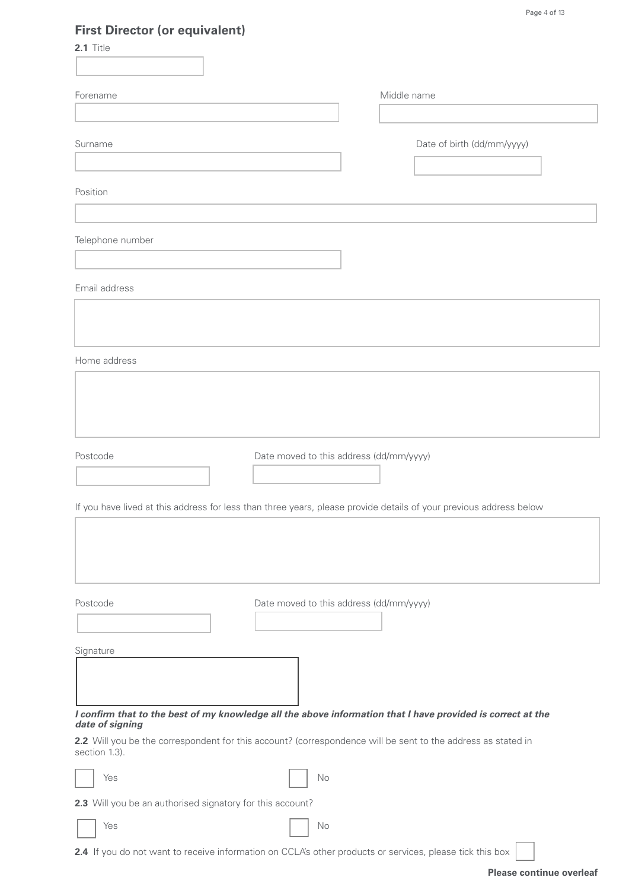# **First Director (or equivalent)**

| <b>THE PROPERTY OF COUPOIDING</b><br>2.1 Title                                                                                 |                                         |                            |
|--------------------------------------------------------------------------------------------------------------------------------|-----------------------------------------|----------------------------|
|                                                                                                                                |                                         |                            |
| Forename                                                                                                                       |                                         | Middle name                |
|                                                                                                                                |                                         |                            |
| Surname                                                                                                                        |                                         | Date of birth (dd/mm/yyyy) |
|                                                                                                                                |                                         |                            |
| Position                                                                                                                       |                                         |                            |
|                                                                                                                                |                                         |                            |
| Telephone number                                                                                                               |                                         |                            |
|                                                                                                                                |                                         |                            |
| Email address                                                                                                                  |                                         |                            |
|                                                                                                                                |                                         |                            |
|                                                                                                                                |                                         |                            |
| Home address                                                                                                                   |                                         |                            |
|                                                                                                                                |                                         |                            |
|                                                                                                                                |                                         |                            |
|                                                                                                                                |                                         |                            |
| Postcode                                                                                                                       | Date moved to this address (dd/mm/yyyy) |                            |
|                                                                                                                                |                                         |                            |
| If you have lived at this address for less than three years, please provide details of your previous address below             |                                         |                            |
|                                                                                                                                |                                         |                            |
|                                                                                                                                |                                         |                            |
|                                                                                                                                |                                         |                            |
| Postcode                                                                                                                       | Date moved to this address (dd/mm/yyyy) |                            |
|                                                                                                                                |                                         |                            |
| Signature                                                                                                                      |                                         |                            |
|                                                                                                                                |                                         |                            |
|                                                                                                                                |                                         |                            |
| I confirm that to the best of my knowledge all the above information that I have provided is correct at the<br>date of signing |                                         |                            |
| 2.2 Will you be the correspondent for this account? (correspondence will be sent to the address as stated in<br>section 1.3).  |                                         |                            |
| Yes                                                                                                                            | No                                      |                            |
| 2.3 Will you be an authorised signatory for this account?                                                                      |                                         |                            |
| Yes                                                                                                                            | No                                      |                            |

**2.4** If you do not want to receive information on CCLA's other products or services, please tick this box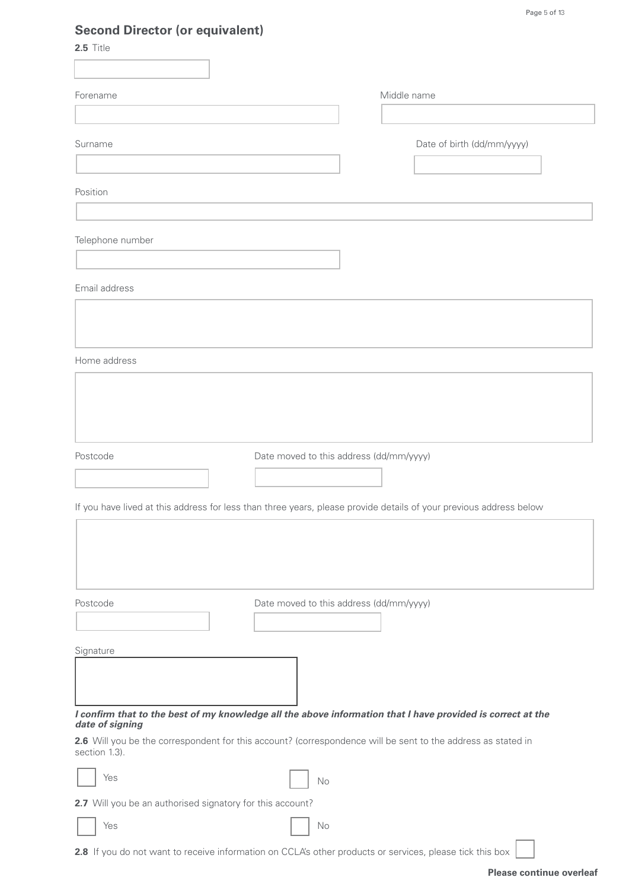# **Second Director (or equivalent)**

| Middle name<br>Forename<br>Surname<br>Date of birth (dd/mm/yyyy)<br>Position<br>Telephone number<br>Email address<br>Home address<br>Postcode<br>Date moved to this address (dd/mm/yyyy)<br>If you have lived at this address for less than three years, please provide details of your previous address below<br>Postcode<br>Date moved to this address (dd/mm/yyyy)<br>Signature<br>I confirm that to the best of my knowledge all the above information that I have provided is correct at the<br>date of signing<br>2.6 Will you be the correspondent for this account? (correspondence will be sent to the address as stated in<br>section 1.3).<br>Yes<br>No<br>2.7 Will you be an authorised signatory for this account? | 2.5 Title | occond Director (or equivalent) |  |  |
|---------------------------------------------------------------------------------------------------------------------------------------------------------------------------------------------------------------------------------------------------------------------------------------------------------------------------------------------------------------------------------------------------------------------------------------------------------------------------------------------------------------------------------------------------------------------------------------------------------------------------------------------------------------------------------------------------------------------------------|-----------|---------------------------------|--|--|
|                                                                                                                                                                                                                                                                                                                                                                                                                                                                                                                                                                                                                                                                                                                                 |           |                                 |  |  |
|                                                                                                                                                                                                                                                                                                                                                                                                                                                                                                                                                                                                                                                                                                                                 |           |                                 |  |  |
|                                                                                                                                                                                                                                                                                                                                                                                                                                                                                                                                                                                                                                                                                                                                 |           |                                 |  |  |
|                                                                                                                                                                                                                                                                                                                                                                                                                                                                                                                                                                                                                                                                                                                                 |           |                                 |  |  |
|                                                                                                                                                                                                                                                                                                                                                                                                                                                                                                                                                                                                                                                                                                                                 |           |                                 |  |  |
|                                                                                                                                                                                                                                                                                                                                                                                                                                                                                                                                                                                                                                                                                                                                 |           |                                 |  |  |
|                                                                                                                                                                                                                                                                                                                                                                                                                                                                                                                                                                                                                                                                                                                                 |           |                                 |  |  |
|                                                                                                                                                                                                                                                                                                                                                                                                                                                                                                                                                                                                                                                                                                                                 |           |                                 |  |  |
|                                                                                                                                                                                                                                                                                                                                                                                                                                                                                                                                                                                                                                                                                                                                 |           |                                 |  |  |
|                                                                                                                                                                                                                                                                                                                                                                                                                                                                                                                                                                                                                                                                                                                                 |           |                                 |  |  |
|                                                                                                                                                                                                                                                                                                                                                                                                                                                                                                                                                                                                                                                                                                                                 |           |                                 |  |  |
|                                                                                                                                                                                                                                                                                                                                                                                                                                                                                                                                                                                                                                                                                                                                 |           |                                 |  |  |
|                                                                                                                                                                                                                                                                                                                                                                                                                                                                                                                                                                                                                                                                                                                                 |           |                                 |  |  |
|                                                                                                                                                                                                                                                                                                                                                                                                                                                                                                                                                                                                                                                                                                                                 |           |                                 |  |  |
|                                                                                                                                                                                                                                                                                                                                                                                                                                                                                                                                                                                                                                                                                                                                 |           |                                 |  |  |
|                                                                                                                                                                                                                                                                                                                                                                                                                                                                                                                                                                                                                                                                                                                                 |           |                                 |  |  |
|                                                                                                                                                                                                                                                                                                                                                                                                                                                                                                                                                                                                                                                                                                                                 |           |                                 |  |  |
|                                                                                                                                                                                                                                                                                                                                                                                                                                                                                                                                                                                                                                                                                                                                 |           |                                 |  |  |
|                                                                                                                                                                                                                                                                                                                                                                                                                                                                                                                                                                                                                                                                                                                                 |           |                                 |  |  |
|                                                                                                                                                                                                                                                                                                                                                                                                                                                                                                                                                                                                                                                                                                                                 |           |                                 |  |  |
|                                                                                                                                                                                                                                                                                                                                                                                                                                                                                                                                                                                                                                                                                                                                 |           |                                 |  |  |
|                                                                                                                                                                                                                                                                                                                                                                                                                                                                                                                                                                                                                                                                                                                                 |           |                                 |  |  |
|                                                                                                                                                                                                                                                                                                                                                                                                                                                                                                                                                                                                                                                                                                                                 |           |                                 |  |  |
|                                                                                                                                                                                                                                                                                                                                                                                                                                                                                                                                                                                                                                                                                                                                 |           |                                 |  |  |
|                                                                                                                                                                                                                                                                                                                                                                                                                                                                                                                                                                                                                                                                                                                                 |           |                                 |  |  |
|                                                                                                                                                                                                                                                                                                                                                                                                                                                                                                                                                                                                                                                                                                                                 |           |                                 |  |  |
|                                                                                                                                                                                                                                                                                                                                                                                                                                                                                                                                                                                                                                                                                                                                 |           |                                 |  |  |
|                                                                                                                                                                                                                                                                                                                                                                                                                                                                                                                                                                                                                                                                                                                                 |           |                                 |  |  |
|                                                                                                                                                                                                                                                                                                                                                                                                                                                                                                                                                                                                                                                                                                                                 |           |                                 |  |  |
|                                                                                                                                                                                                                                                                                                                                                                                                                                                                                                                                                                                                                                                                                                                                 |           |                                 |  |  |
|                                                                                                                                                                                                                                                                                                                                                                                                                                                                                                                                                                                                                                                                                                                                 |           |                                 |  |  |
| Yes<br>$\rm No$                                                                                                                                                                                                                                                                                                                                                                                                                                                                                                                                                                                                                                                                                                                 |           |                                 |  |  |

**2.8** If you do not want to receive information on CCLA's other products or services, please tick this box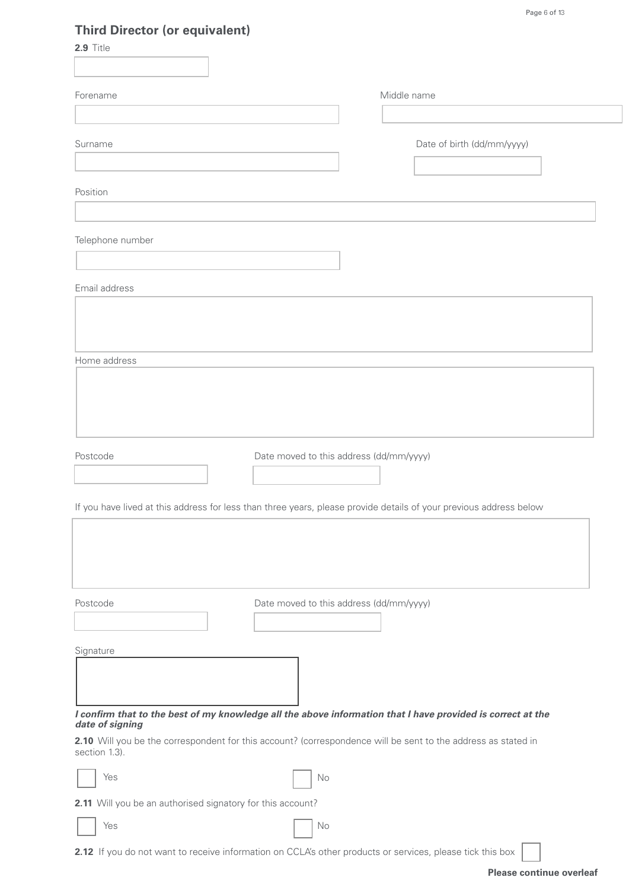# **Third Director (or equivalent)**

| 2.9 Title                                                                                                                      |                                         |
|--------------------------------------------------------------------------------------------------------------------------------|-----------------------------------------|
|                                                                                                                                |                                         |
| Forename                                                                                                                       | Middle name                             |
|                                                                                                                                |                                         |
| Surname                                                                                                                        | Date of birth (dd/mm/yyyy)              |
| Position                                                                                                                       |                                         |
| Telephone number                                                                                                               |                                         |
| Email address                                                                                                                  |                                         |
|                                                                                                                                |                                         |
| Home address                                                                                                                   |                                         |
|                                                                                                                                |                                         |
| Postcode                                                                                                                       | Date moved to this address (dd/mm/yyyy) |
| If you have lived at this address for less than three years, please provide details of your previous address below             |                                         |
|                                                                                                                                |                                         |
| Postcode                                                                                                                       | Date moved to this address (dd/mm/yyyy) |
| Signature                                                                                                                      |                                         |
| I confirm that to the best of my knowledge all the above information that I have provided is correct at the<br>date of signing |                                         |
| 2.10 Will you be the correspondent for this account? (correspondence will be sent to the address as stated in<br>section 1.3). |                                         |
| Yes<br>No                                                                                                                      |                                         |
| 2.11 Will you be an authorised signatory for this account?                                                                     |                                         |
| Yes<br>No                                                                                                                      |                                         |

**2.12** If you do not want to receive information on CCLA's other products or services, please tick this box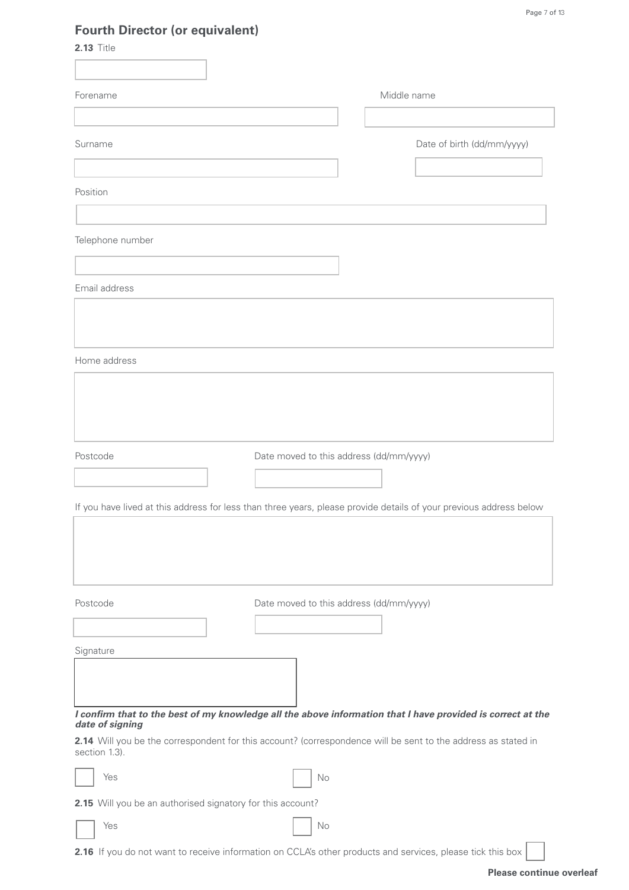# **Fourth Director (or equivalent)**

|--|--|--|--|

| Forename                                                   |                                         | Middle name                                                                                                        |
|------------------------------------------------------------|-----------------------------------------|--------------------------------------------------------------------------------------------------------------------|
|                                                            |                                         |                                                                                                                    |
| Surname                                                    |                                         | Date of birth (dd/mm/yyyy)                                                                                         |
|                                                            |                                         |                                                                                                                    |
| Position                                                   |                                         |                                                                                                                    |
|                                                            |                                         |                                                                                                                    |
| Telephone number                                           |                                         |                                                                                                                    |
|                                                            |                                         |                                                                                                                    |
| Email address                                              |                                         |                                                                                                                    |
|                                                            |                                         |                                                                                                                    |
|                                                            |                                         |                                                                                                                    |
| Home address                                               |                                         |                                                                                                                    |
|                                                            |                                         |                                                                                                                    |
|                                                            |                                         |                                                                                                                    |
|                                                            |                                         |                                                                                                                    |
| Postcode                                                   | Date moved to this address (dd/mm/yyyy) |                                                                                                                    |
|                                                            |                                         |                                                                                                                    |
|                                                            |                                         | If you have lived at this address for less than three years, please provide details of your previous address below |
|                                                            |                                         |                                                                                                                    |
|                                                            |                                         |                                                                                                                    |
|                                                            |                                         |                                                                                                                    |
| Postcode                                                   | Date moved to this address (dd/mm/yyyy) |                                                                                                                    |
|                                                            |                                         |                                                                                                                    |
| Signature                                                  |                                         |                                                                                                                    |
|                                                            |                                         |                                                                                                                    |
|                                                            |                                         | I confirm that to the best of my knowledge all the above information that I have provided is correct at the        |
| date of signing                                            |                                         |                                                                                                                    |
| section 1.3).                                              |                                         | 2.14 Will you be the correspondent for this account? (correspondence will be sent to the address as stated in      |
| Yes                                                        | No                                      |                                                                                                                    |
| 2.15 Will you be an authorised signatory for this account? |                                         |                                                                                                                    |
| Yes                                                        | No                                      |                                                                                                                    |

**2.16** If you do not want to receive information on CCLA's other products and services, please tick this box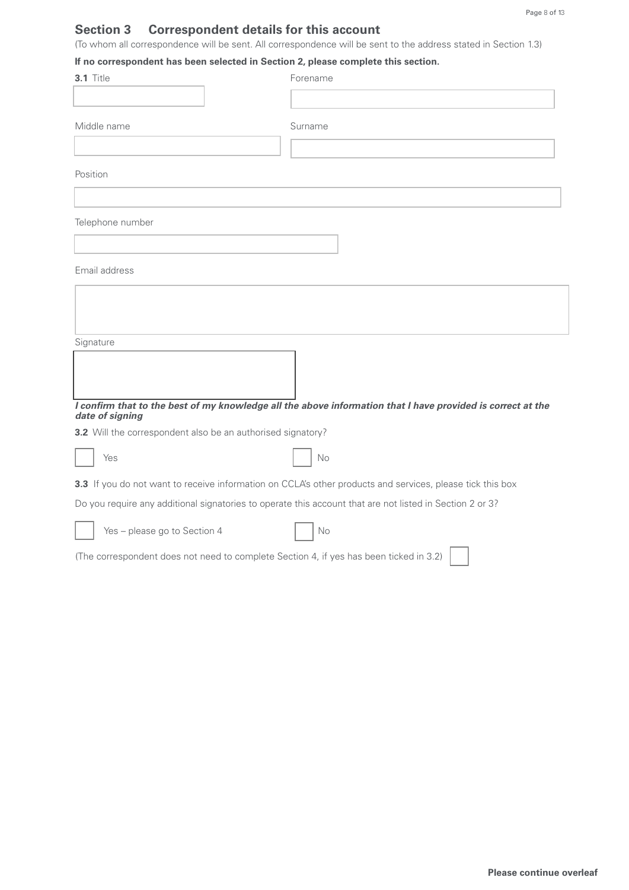# **Section 3 Correspondent details for this account**

(To whom all correspondence will be sent. All correspondence will be sent to the address stated in Section 1.3)

### **If no correspondent has been selected in Section 2, please complete this section.**

| 3.1 Title                                                   | Forename                                                                                                    |
|-------------------------------------------------------------|-------------------------------------------------------------------------------------------------------------|
|                                                             |                                                                                                             |
| Middle name                                                 | Surname                                                                                                     |
| Position                                                    |                                                                                                             |
| Telephone number                                            |                                                                                                             |
|                                                             |                                                                                                             |
| Email address                                               |                                                                                                             |
|                                                             |                                                                                                             |
| Signature                                                   |                                                                                                             |
|                                                             |                                                                                                             |
| date of signing                                             | I confirm that to the best of my knowledge all the above information that I have provided is correct at the |
| 3.2 Will the correspondent also be an authorised signatory? |                                                                                                             |
| Yes                                                         | No                                                                                                          |
|                                                             | 3.3 If you do not want to receive information on CCLA's other products and services, please tick this box   |
|                                                             | Do you require any additional signatories to operate this account that are not listed in Section 2 or 3?    |
| Yes - please go to Section 4                                | No                                                                                                          |
|                                                             | (The correspondent does not need to complete Section 4, if yes has been ticked in 3.2)                      |
|                                                             |                                                                                                             |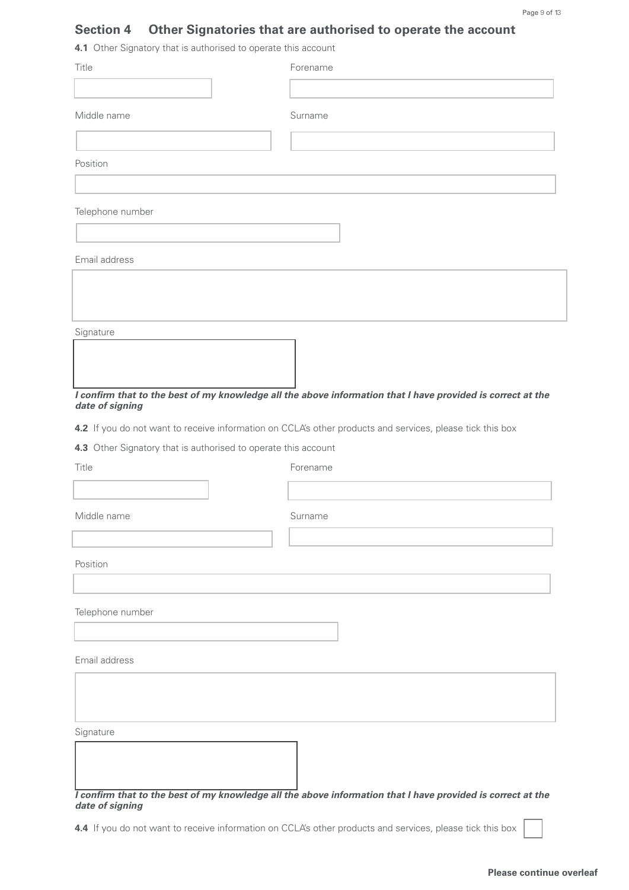# **Section 4 Other Signatories that are authorised to operate the account**

**4.1** Other Signatory that is authorised to operate this account

| Title                                                          | Forename                                                                                                    |
|----------------------------------------------------------------|-------------------------------------------------------------------------------------------------------------|
|                                                                |                                                                                                             |
| Middle name                                                    | Surname                                                                                                     |
|                                                                |                                                                                                             |
| Position                                                       |                                                                                                             |
|                                                                |                                                                                                             |
| Telephone number                                               |                                                                                                             |
|                                                                |                                                                                                             |
| Email address                                                  |                                                                                                             |
|                                                                |                                                                                                             |
|                                                                |                                                                                                             |
| Signature                                                      |                                                                                                             |
|                                                                |                                                                                                             |
|                                                                |                                                                                                             |
| date of signing                                                | I confirm that to the best of my knowledge all the above information that I have provided is correct at the |
|                                                                | 4.2 If you do not want to receive information on CCLA's other products and services, please tick this box   |
| 4.3 Other Signatory that is authorised to operate this account |                                                                                                             |
| Title                                                          | Forename                                                                                                    |
|                                                                |                                                                                                             |
| Middle name                                                    | Surname                                                                                                     |
|                                                                |                                                                                                             |
| Position                                                       |                                                                                                             |
|                                                                |                                                                                                             |
| Telephone number                                               |                                                                                                             |
|                                                                |                                                                                                             |
| Email address                                                  |                                                                                                             |
|                                                                |                                                                                                             |
|                                                                |                                                                                                             |
| Signature                                                      |                                                                                                             |
|                                                                |                                                                                                             |
|                                                                |                                                                                                             |
|                                                                |                                                                                                             |

### *I confirm that to the best of my knowledge all the above information that I have provided is correct at the date of signing*

**4.4** If you do not want to receive information on CCLA's other products and services, please tick this box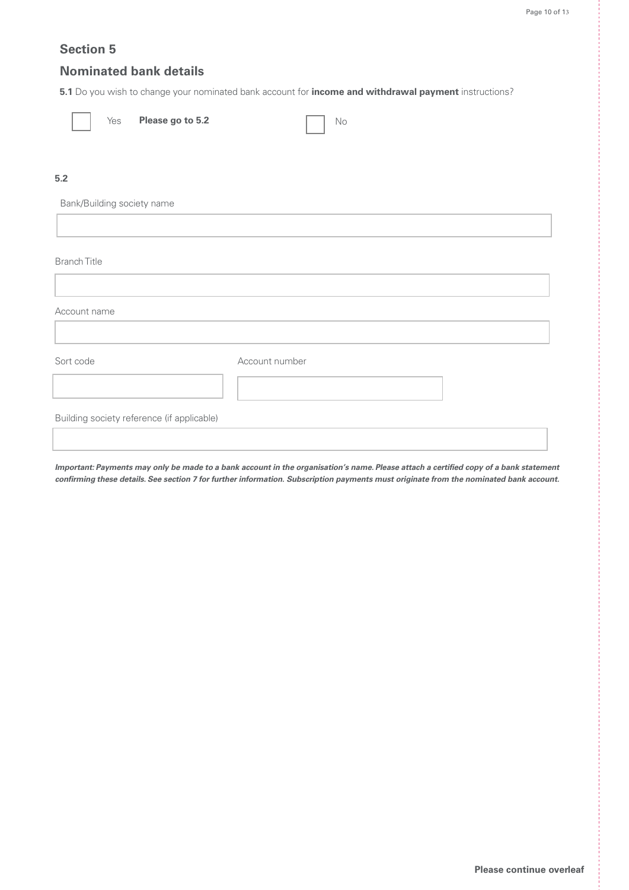### **Section 5**

### **Nominated bank details**

**5.1** Do you wish to change your nominated bank account for **income and withdrawal payment** instructions?

| Please go to 5.2<br>Yes                    | $\rm No$       |
|--------------------------------------------|----------------|
| $5.2\,$                                    |                |
| Bank/Building society name                 |                |
|                                            |                |
|                                            |                |
| <b>Branch Title</b>                        |                |
|                                            |                |
| Account name                               |                |
|                                            |                |
| Sort code                                  | Account number |
|                                            |                |
| Building society reference (if applicable) |                |
|                                            |                |

**Important: Payments may only be made to a bank account in the organisation's name. Please attach a certified copy of a bank statement confirming these details. See section 7 for further information. Subscription payments must originate from the nominated bank account.**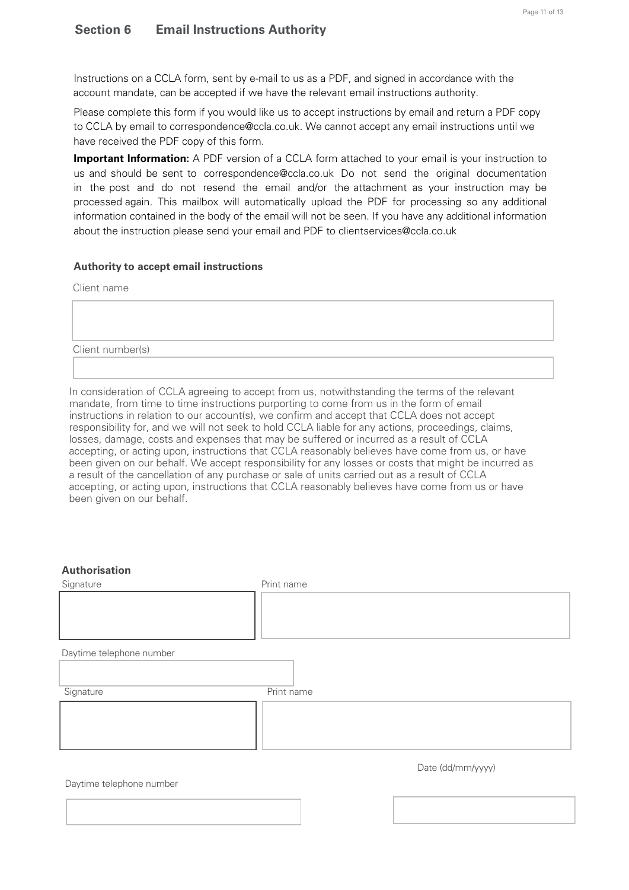Instructions on a CCLA form, sent by e-mail to us as a PDF, and signed in accordance with the account mandate, can be accepted if we have the relevant email instructions authority.

Please complete this form if you would like us to accept instructions by email and return a PDF copy to CCLA by email to correspondence@ccla.co.uk. We cannot accept any email instructions until we have received the PDF copy of this form.

**Important Information:** A PDF version of a CCLA form attached to your email is your instruction to us and should be sent to correspondence@ccla.co.uk Do not send the original documentation in the post and do not resend the email and/or the attachment as your instruction may be processed again. This mailbox will automatically upload the PDF for processing so any additional information contained in the body of the email will not be seen. If you have any additional information about the instruction please send your email and PDF to clientservices@ccla.co.uk

### **Authority to accept email instructions**

Client name

Client number(s)

In consideration of CCLA agreeing to accept from us, notwithstanding the terms of the relevant mandate, from time to time instructions purporting to come from us in the form of email instructions in relation to our account(s), we confirm and accept that CCLA does not accept responsibility for, and we will not seek to hold CCLA liable for any actions, proceedings, claims, losses, damage, costs and expenses that may be suffered or incurred as a result of CCLA accepting, or acting upon, instructions that CCLA reasonably believes have come from us, or have been given on our behalf. We accept responsibility for any losses or costs that might be incurred as a result of the cancellation of any purchase or sale of units carried out as a result of CCLA accepting, or acting upon, instructions that CCLA reasonably believes have come from us or have been given on our behalf.

### **Authorisation**

| Signature                | Print name        |
|--------------------------|-------------------|
|                          |                   |
|                          |                   |
| Daytime telephone number |                   |
|                          |                   |
| Signature                | Print name        |
|                          |                   |
|                          |                   |
|                          |                   |
|                          | Date (dd/mm/yyyy) |

Daytime telephone number

Date (dd/mm/yyyy)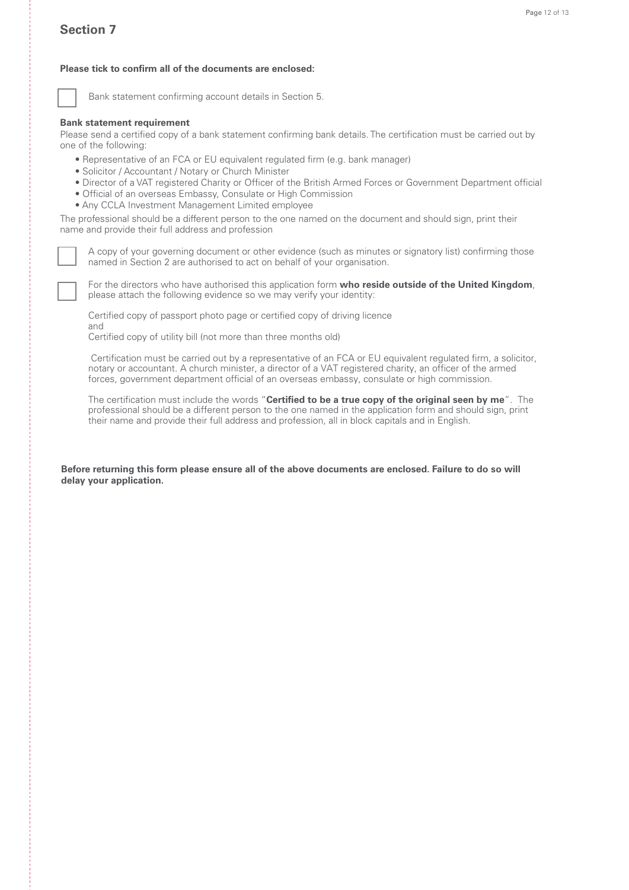### **Section 7**

### **Please tick to confirm all of the documents are enclosed:**



Bank statement confirming account details in Section 5.

#### **Bank statement requirement**

Please send a certified copy of a bank statement confirming bank details. The certification must be carried out by one of the following:

- Representative of an FCA or EU equivalent regulated firm (e.g. bank manager)
- Solicitor / Accountant / Notary or Church Minister
- Director of a VAT registered Charity or Officer of the British Armed Forces or Government Department official
- Official of an overseas Embassy, Consulate or High Commission
- Any CCLA Investment Management Limited employee

The professional should be a different person to the one named on the document and should sign, print their name and provide their full address and profession

A copy of your governing document or other evidence (such as minutes or signatory list) confirming those named in Section 2 are authorised to act on behalf of your organisation.

For the directors who have authorised this application form who reside outside of the United Kingdom, please attach the following evidence so we may verify your identity:

Certified copy of passport photo page or certified copy of driving licence and

Certified copy of utility bill (not more than three months old)

 Certification must be carried out by a representative of an FCA or EU equivalent regulated firm, a solicitor, notary or accountant. A church minister, a director of a VAT registered charity, an officer of the armed forces, government department official of an overseas embassy, consulate or high commission.

The certification must include the words "**Certified to be a true copy of the original seen by me**". The professional should be a different person to the one named in the application form and should sign, print their name and provide their full address and profession, all in block capitals and in English.

**Before returning this form please ensure all of the above documents are enclosed. Failure to do so will delay your application.**